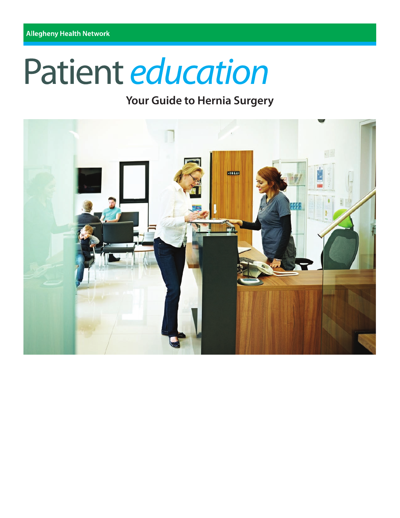# Patient education

# **Your Guide to Hernia Surgery**

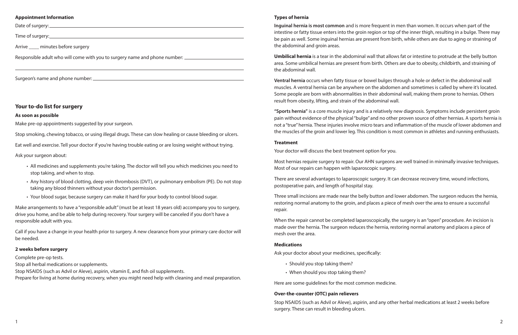# **Types of hernia**

**Inguinal hernia is most common** and is more frequent in men than women. It occurs when part of the intestine or fatty tissue enters into the groin region or top of the inner thigh, resulting in a bulge. There may be pain as well. Some inguinal hernias are present from birth, while others are due to aging or straining of the abdominal and groin areas.

**Umbilical hernia** is a tear in the abdominal wall that allows fat or intestine to protrude at the belly button area. Some umbilical hernias are present from birth. Others are due to obesity, childbirth, and straining of the abdominal wall.

**Ventral hernia** occurs when fatty tissue or bowel bulges through a hole or defect in the abdominal wall muscles. A ventral hernia can be anywhere on the abdomen and sometimes is called by where it's located. Some people are born with abnormalities in their abdominal wall, making them prone to hernias. Others result from obesity, lifting, and strain of the abdominal wall.

**"Sports hernia"** is a core muscle injury and is a relatively new diagnosis. Symptoms include persistent groin pain without evidence of the physical "bulge" and no other proven source of other hernias. A sports hernia is not a "true" hernia. These injuries involve micro tears and inflammation of the muscle of lower abdomen and the muscles of the groin and lower leg. This condition is most common in athletes and running enthusiasts.

#### **Treatment**

Your doctor will discuss the best treatment option for you.

Most hernias require surgery to repair. Our AHN surgeons are well trained in minimally invasive techniques. Most of our repairs can happen with laparoscopic surgery.

There are several advantages to laparoscopic surgery. It can decrease recovery time, wound infections, postoperative pain, and length of hospital stay.

Three small incisions are made near the belly button and lower abdomen. The surgeon reduces the hernia, restoring normal anatomy to the groin, and places a piece of mesh over the area to ensure a successful repair.

When the repair cannot be completed laparoscopically, the surgery is an "open" procedure. An incision is made over the hernia. The surgeon reduces the hernia, restoring normal anatomy and places a piece of mesh over the area.

#### **Medications**

Ask your doctor about your medicines, specifically:

- Should you stop taking them?
- When should you stop taking them?

Here are some guidelines for the most common medicine.

# **Over-the-counter (OTC) pain relievers**

Stop NSAIDS (such as Advil or Aleve), aspirin, and any other herbal medications at least 2 weeks before surgery. These can result in bleeding ulcers.

#### **Appointment Information**

Date of surgery:

Time of surgery:

Arrive minutes before surgery

Responsible adult who will come with you to surgery name and phone number: \_\_\_\_\_\_\_\_\_\_\_\_\_\_\_\_\_\_\_\_\_\_\_\_

Surgeon's name and phone number:

# **Your to-do list for surgery**

#### **As soon as possible**

Make pre-op appointments suggested by your surgeon.

Stop smoking, chewing tobacco, or using illegal drugs. These can slow healing or cause bleeding or ulcers.

Eat well and exercise. Tell your doctor if you're having trouble eating or are losing weight without trying.

Ask your surgeon about:

- All medicines and supplements you're taking. The doctor will tell you which medicines you need to stop taking, and when to stop.
- Any history of blood clotting, deep vein thrombosis (DVT), or pulmonary embolism (PE). Do not stop taking any blood thinners without your doctor's permission.
- Your blood sugar, because surgery can make it hard for your body to control blood sugar.

Make arrangements to have a "responsible adult" (must be at least 18 years old) accompany you to surgery, drive you home, and be able to help during recovery. Your surgery will be canceled if you don't have a responsible adult with you.

Call if you have a change in your health prior to surgery. A new clearance from your primary care doctor will be needed.

#### **2 weeks before surgery**

Complete pre-op tests. Stop all herbal medications or supplements. Stop NSAIDS (such as Advil or Aleve), aspirin, vitamin E, and fish oil supplements. Prepare for living at home during recovery, when you might need help with cleaning and meal preparation.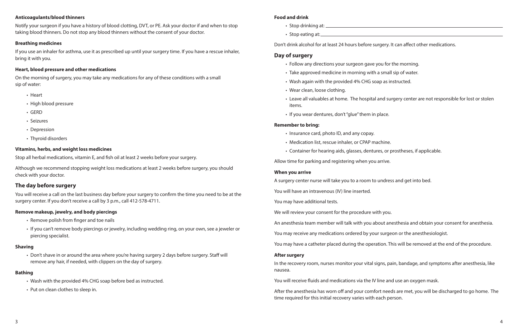#### **Food and drink**

- Stop drinking at:
- Stop eating at:

Don't drink alcohol for at least 24 hours before surgery. It can affect other medications.

# **Day of surgery**

- Follow any directions your surgeon gave you for the morning.
- Take approved medicine in morning with a small sip of water.
- Wash again with the provided 4% CHG soap as instructed.
- Wear clean, loose clothing.
- items.
- If you wear dentures, don't "glue" them in place.

• Leave all valuables at home. The hospital and surgery center are not responsible for lost or stolen

#### **Remember to bring:**

- Insurance card, photo ID, and any copay.
- Medication list, rescue inhaler, or CPAP machine.
- Container for hearing aids, glasses, dentures, or prostheses, if applicable.

Allow time for parking and registering when you arrive.

#### **When you arrive**

A surgery center nurse will take you to a room to undress and get into bed.

You will have an intravenous (IV) line inserted.

You may have additional tests.

We will review your consent for the procedure with you.

An anesthesia team member will talk with you about anesthesia and obtain your consent for anesthesia.

You may receive any medications ordered by your surgeon or the anesthesiologist.

You may have a catheter placed during the operation. This will be removed at the end of the procedure.

#### **After surgery**

In the recovery room, nurses monitor your vital signs, pain, bandage, and symptoms after anesthesia, like nausea.

You will receive fluids and medications via the IV line and use an oxygen mask.

After the anesthesia has worn off and your comfort needs are met, you will be discharged to go home. The time required for this initial recovery varies with each person.

#### **Anticoagulants/blood thinners**

Notify your surgeon if you have a history of blood clotting, DVT, or PE. Ask your doctor if and when to stop taking blood thinners. Do not stop any blood thinners without the consent of your doctor.

#### **Breathing medicines**

If you use an inhaler for asthma, use it as prescribed up until your surgery time. If you have a rescue inhaler, bring it with you.

# **Heart, blood pressure and other medications**

On the morning of surgery, you may take any medications for any of these conditions with a small sip of water:

- Heart
- High blood pressure
- GERD
- Seizures
- Depression
- Thyroid disorders

# **Vitamins, herbs, and weight loss medicines**

Stop all herbal medications, vitamin E, and fish oil at least 2 weeks before your surgery.

Although we recommend stopping weight loss medications at least 2 weeks before surgery, you should check with your doctor.

# **The day before surgery**

You will receive a call on the last business day before your surgery to confirm the time you need to be at the surgery center. If you don't receive a call by 3 p.m., call 412-578-4711.

#### **Remove makeup, jewelry, and body piercings**

- Remove polish from finger and toe nails
- If you can't remove body piercings or jewelry, including wedding ring, on your own, see a jeweler or piercing specialist.

#### **Shaving**

• Don't shave in or around the area where you're having surgery 2 days before surgery. Staff will remove any hair, if needed, with clippers on the day of surgery.

#### **Bathing**

- Wash with the provided 4% CHG soap before bed as instructed.
- Put on clean clothes to sleep in.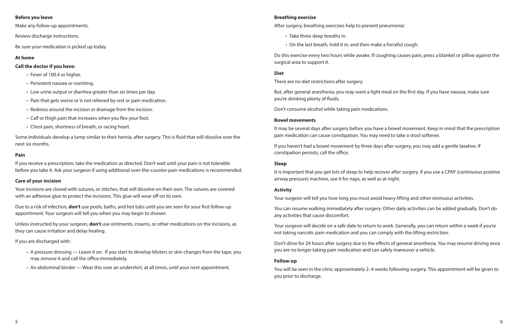#### **Breathing exercise**

After surgery, breathing exercises help to prevent pneumonia:

- Take three deep breaths in.
- On the last breath, hold it in, and then make a forceful cough.

Do this exercise every two hours while awake. If coughing causes pain, press a blanket or pillow against the surgical area to support it.

# **Diet**

There are no diet restrictions after surgery.

But, after general anesthesia, you may want a light meal on the first day. If you have nausea, make sure you're drinking plenty of fluids.

Don't consume alcohol while taking pain medications.

# **Bowel movements**

It may be several days after surgery before you have a bowel movement. Keep in mind that the prescription pain medication can cause constipation. You may need to take a stool softener.

If you haven't had a bowel movement by three days after surgery, you may add a gentle laxative. If constipation persists, call the office.

# **Sleep**

It is important that you get lots of sleep to help recover after surgery. If you use a CPAP (continuous positive airway pressure) machine, use it for naps, as well as at night.

# **Activity**

Your surgeon will tell you how long you must avoid heavy lifting and other strenuous activities.

You can resume walking immediately after surgery. Other daily activities can be added gradually. Don't do any activities that cause discomfort.

Your surgeon will decide on a safe date to return to work. Generally, you can return within a week if you're not taking narcotic pain medication and you can comply with the lifting restriction.

Don't drive for 24 hours after surgery due to the effects of general anesthesia. You may resume driving once you are no longer taking pain medication and can safely maneuver a vehicle.

#### **Follow-up**

You will be seen in the clinic approximately 2–4 weeks following surgery. This appointment will be given to you prior to discharge.

#### **Before you leave**

Make any follow-up appointments.

Review discharge instructions.

Be sure your medication is picked up today.

# **At home**

# **Call the doctor if you have:**

- Fever of 100.4 or higher.
- Persistent nausea or vomiting.
- Low urine output or diarrhea greater than six times per day.
- Pain that gets worse or is not relieved by rest or pain medication.
- Redness around the incision or drainage from the incision.
- Calf or thigh pain that increases when you flex your foot.
- Chest pain, shortness of breath, or racing heart.

Some individuals develop a lump similar to their hernia, after surgery. This is fluid that will dissolve over the next six months.

#### **Pain**

If you receive a prescription, take the medication as directed. Don't wait until your pain is not tolerable before you take it. Ask your surgeon if using additional over-the-counter pain medications is recommended.

# **Care of your incision**

Your incisions are closed with sutures, or stitches, that will dissolve on their own. The sutures are covered with an adhesive glue to protect the incisions. This glue will wear off on its own.

Due to a risk of infection, **don't** use pools, baths, and hot tubs until you are seen for your first follow-up appointment. Your surgeon will tell you when you may begin to shower.

Unless instructed by your surgeon, **don't** use ointments, creams, or other medications on the incisions, as they can cause irritation and delay healing.

If you are discharged with:

- A pressure dressing Leave it on. If you start to develop blisters or skin changes from the tape, you may remove it and call the office immediately.
- An abdominal binder Wear this over an undershirt, at all times, until your next appointment.